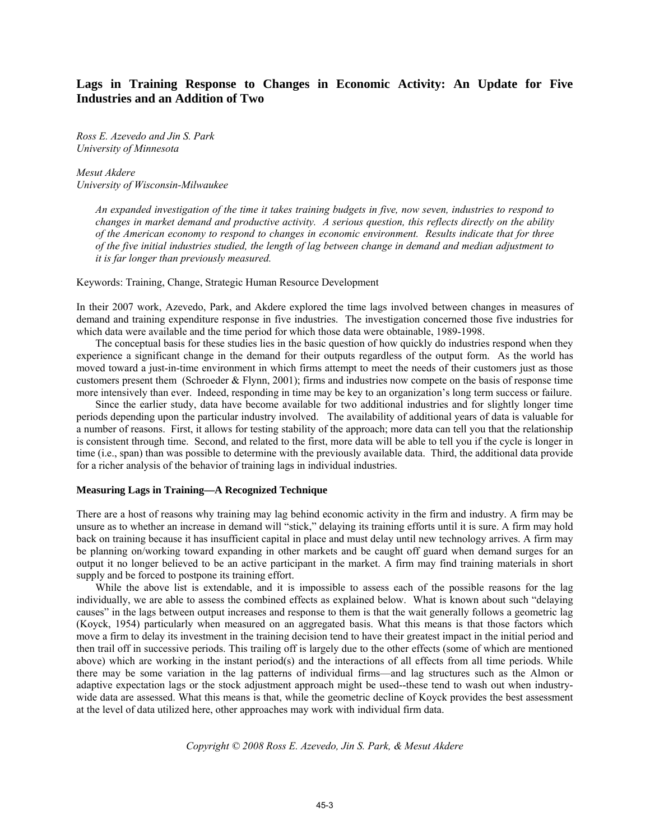# **Lags in Training Response to Changes in Economic Activity: An Update for Five Industries and an Addition of Two**

*Ross E. Azevedo and Jin S. Park University of Minnesota* 

*Mesut Akdere University of Wisconsin-Milwaukee* 

> *An expanded investigation of the time it takes training budgets in five, now seven, industries to respond to changes in market demand and productive activity. A serious question, this reflects directly on the ability of the American economy to respond to changes in economic environment. Results indicate that for three of the five initial industries studied, the length of lag between change in demand and median adjustment to it is far longer than previously measured.*

Keywords: Training, Change, Strategic Human Resource Development

In their 2007 work, Azevedo, Park, and Akdere explored the time lags involved between changes in measures of demand and training expenditure response in five industries. The investigation concerned those five industries for which data were available and the time period for which those data were obtainable, 1989-1998.

The conceptual basis for these studies lies in the basic question of how quickly do industries respond when they experience a significant change in the demand for their outputs regardless of the output form. As the world has moved toward a just-in-time environment in which firms attempt to meet the needs of their customers just as those customers present them (Schroeder & Flynn, 2001); firms and industries now compete on the basis of response time more intensively than ever. Indeed, responding in time may be key to an organization's long term success or failure.

Since the earlier study, data have become available for two additional industries and for slightly longer time periods depending upon the particular industry involved. The availability of additional years of data is valuable for a number of reasons. First, it allows for testing stability of the approach; more data can tell you that the relationship is consistent through time. Second, and related to the first, more data will be able to tell you if the cycle is longer in time (i.e., span) than was possible to determine with the previously available data. Third, the additional data provide for a richer analysis of the behavior of training lags in individual industries.

## **Measuring Lags in Training—A Recognized Technique**

There are a host of reasons why training may lag behind economic activity in the firm and industry. A firm may be unsure as to whether an increase in demand will "stick," delaying its training efforts until it is sure. A firm may hold back on training because it has insufficient capital in place and must delay until new technology arrives. A firm may be planning on/working toward expanding in other markets and be caught off guard when demand surges for an output it no longer believed to be an active participant in the market. A firm may find training materials in short supply and be forced to postpone its training effort.

While the above list is extendable, and it is impossible to assess each of the possible reasons for the lag individually, we are able to assess the combined effects as explained below. What is known about such "delaying causes" in the lags between output increases and response to them is that the wait generally follows a geometric lag (Koyck, 1954) particularly when measured on an aggregated basis. What this means is that those factors which move a firm to delay its investment in the training decision tend to have their greatest impact in the initial period and then trail off in successive periods. This trailing off is largely due to the other effects (some of which are mentioned above) which are working in the instant period(s) and the interactions of all effects from all time periods. While there may be some variation in the lag patterns of individual firms—and lag structures such as the Almon or adaptive expectation lags or the stock adjustment approach might be used--these tend to wash out when industrywide data are assessed. What this means is that, while the geometric decline of Koyck provides the best assessment at the level of data utilized here, other approaches may work with individual firm data.

*Copyright © 2008 Ross E. Azevedo, Jin S. Park, & Mesut Akdere*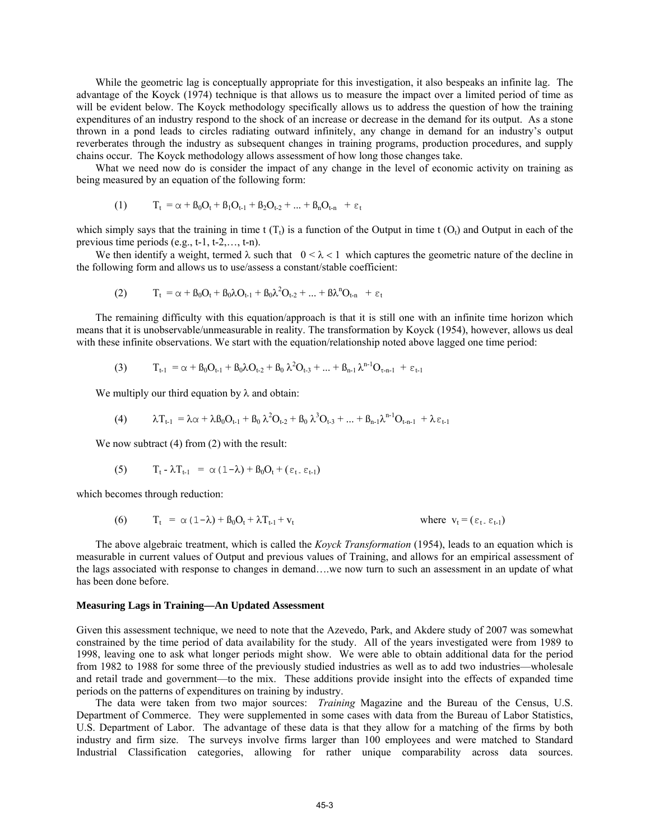While the geometric lag is conceptually appropriate for this investigation, it also bespeaks an infinite lag. The advantage of the Koyck (1974) technique is that allows us to measure the impact over a limited period of time as will be evident below. The Koyck methodology specifically allows us to address the question of how the training expenditures of an industry respond to the shock of an increase or decrease in the demand for its output. As a stone thrown in a pond leads to circles radiating outward infinitely, any change in demand for an industry's output reverberates through the industry as subsequent changes in training programs, production procedures, and supply chains occur. The Koyck methodology allows assessment of how long those changes take.

What we need now do is consider the impact of any change in the level of economic activity on training as being measured by an equation of the following form:

(1) 
$$
T_t = \alpha + \beta_0 O_t + \beta_1 O_{t-1} + \beta_2 O_{t-2} + ... + \beta_n O_{t-n} + \varepsilon_t
$$

which simply says that the training in time t  $(T<sub>t</sub>)$  is a function of the Output in time t  $(O<sub>t</sub>)$  and Output in each of the previous time periods (e.g., t-1, t-2,…, t-n).

We then identify a weight, termed  $\lambda$  such that  $0 < \lambda < 1$  which captures the geometric nature of the decline in the following form and allows us to use/assess a constant/stable coefficient:

(2) 
$$
T_t = \alpha + \beta_0 O_t + \beta_0 \lambda O_{t-1} + \beta_0 \lambda^2 O_{t-2} + ... + \beta \lambda^n O_{t-n} + \epsilon_t
$$

The remaining difficulty with this equation/approach is that it is still one with an infinite time horizon which means that it is unobservable/unmeasurable in reality. The transformation by Koyck (1954), however, allows us deal with these infinite observations. We start with the equation/relationship noted above lagged one time period:

$$
(3) \tT_{t-1} = \alpha + \beta_0 O_{t-1} + \beta_0 \lambda O_{t-2} + \beta_0 \lambda^2 O_{t-3} + ... + \beta_{n-1} \lambda^{n-1} O_{\tau-n-1} + \varepsilon_{t-1}
$$

We multiply our third equation by  $\lambda$  and obtain:

$$
(4) \qquad \lambda T_{t-1} = \lambda \alpha + \lambda \beta_0 O_{t-1} + \beta_0 \lambda^2 O_{t-2} + \beta_0 \lambda^3 O_{t-3} + ... + \beta_{n-1} \lambda^{n-1} O_{t-n-1} + \lambda \epsilon_{t-1}
$$

We now subtract (4) from (2) with the result:

(5) 
$$
T_t - \lambda T_{t-1} = \alpha (1-\lambda) + \beta_0 O_t + (\varepsilon_t \cdot \varepsilon_{t-1})
$$

which becomes through reduction:

(6) 
$$
T_t = \alpha (1 - \lambda) + \beta_0 O_t + \lambda T_{t-1} + v_t
$$
 where  $v_t = (\varepsilon_t - \varepsilon_{t-1})$ 

The above algebraic treatment, which is called the *Koyck Transformation* (1954), leads to an equation which is measurable in current values of Output and previous values of Training, and allows for an empirical assessment of the lags associated with response to changes in demand….we now turn to such an assessment in an update of what has been done before.

### **Measuring Lags in Training—An Updated Assessment**

Given this assessment technique, we need to note that the Azevedo, Park, and Akdere study of 2007 was somewhat constrained by the time period of data availability for the study. All of the years investigated were from 1989 to 1998, leaving one to ask what longer periods might show. We were able to obtain additional data for the period from 1982 to 1988 for some three of the previously studied industries as well as to add two industries—wholesale and retail trade and government—to the mix. These additions provide insight into the effects of expanded time periods on the patterns of expenditures on training by industry.

The data were taken from two major sources: *Training* Magazine and the Bureau of the Census, U.S. Department of Commerce. They were supplemented in some cases with data from the Bureau of Labor Statistics, U.S. Department of Labor. The advantage of these data is that they allow for a matching of the firms by both industry and firm size. The surveys involve firms larger than 100 employees and were matched to Standard Industrial Classification categories, allowing for rather unique comparability across data sources.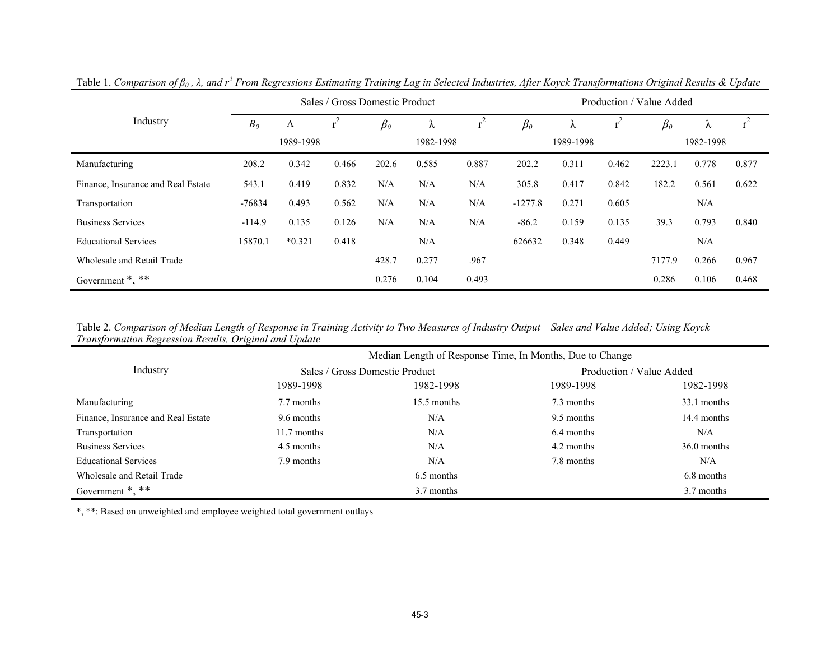|                                    |          |           | Sales / Gross Domestic Product |           |           |       |           |           |       | Production / Value Added |           |       |
|------------------------------------|----------|-----------|--------------------------------|-----------|-----------|-------|-----------|-----------|-------|--------------------------|-----------|-------|
| Industry                           | $B_0$    | Λ         | $r^2$                          | $\beta_0$ | λ         |       | $\beta_0$ | ∼         | $r^2$ | $\beta_0$                | $\sim$    |       |
|                                    |          | 1989-1998 |                                |           | 1982-1998 |       |           | 1989-1998 |       |                          | 1982-1998 |       |
| Manufacturing                      | 208.2    | 0.342     | 0.466                          | 202.6     | 0.585     | 0.887 | 202.2     | 0.311     | 0.462 | 2223.1                   | 0.778     | 0.877 |
| Finance, Insurance and Real Estate | 543.1    | 0.419     | 0.832                          | N/A       | N/A       | N/A   | 305.8     | 0.417     | 0.842 | 182.2                    | 0.561     | 0.622 |
| Transportation                     | -76834   | 0.493     | 0.562                          | N/A       | N/A       | N/A   | $-1277.8$ | 0.271     | 0.605 |                          | N/A       |       |
| <b>Business Services</b>           | $-114.9$ | 0.135     | 0.126                          | N/A       | N/A       | N/A   | $-86.2$   | 0.159     | 0.135 | 39.3                     | 0.793     | 0.840 |
| <b>Educational Services</b>        | 15870.1  | $*0.321$  | 0.418                          |           | N/A       |       | 626632    | 0.348     | 0.449 |                          | N/A       |       |
| Wholesale and Retail Trade         |          |           |                                | 428.7     | 0.277     | .967  |           |           |       | 7177.9                   | 0.266     | 0.967 |
| Government $*, **$                 |          |           |                                | 0.276     | 0.104     | 0.493 |           |           |       | 0.286                    | 0.106     | 0.468 |

Table 1. *Comparison of β0 , λ, and r2 From Regressions Estimating Training Lag in Selected Industries, After Koyck Transformations Original Results & Update*

Table 2. *Comparison of Median Length of Response in Training Activity to Two Measures of Industry Output – Sales and Value Added; Using Koyck Transformation Regression Results, Original and Update*

|                                    | Median Length of Response Time, In Months, Due to Change |                                |                          |               |  |  |  |  |  |
|------------------------------------|----------------------------------------------------------|--------------------------------|--------------------------|---------------|--|--|--|--|--|
| Industry                           |                                                          | Sales / Gross Domestic Product | Production / Value Added |               |  |  |  |  |  |
|                                    | 1989-1998                                                | 1982-1998                      | 1989-1998                | 1982-1998     |  |  |  |  |  |
| Manufacturing                      | 7.7 months                                               | 15.5 months                    | 7.3 months               | 33.1 months   |  |  |  |  |  |
| Finance, Insurance and Real Estate | 9.6 months                                               | N/A                            | 9.5 months               | 14.4 months   |  |  |  |  |  |
| Transportation                     | $11.7$ months                                            | N/A                            | 6.4 months               | N/A           |  |  |  |  |  |
| <b>Business Services</b>           | 4.5 months                                               | N/A                            | 4.2 months               | $36.0$ months |  |  |  |  |  |
| <b>Educational Services</b>        | 7.9 months                                               | N/A                            | 7.8 months               | N/A           |  |  |  |  |  |
| Wholesale and Retail Trade         |                                                          | 6.5 months                     |                          | 6.8 months    |  |  |  |  |  |
| Government $*, **$                 |                                                          | 3.7 months                     |                          | 3.7 months    |  |  |  |  |  |

\*, \*\*: Based on unweighted and employee weighted total government outlays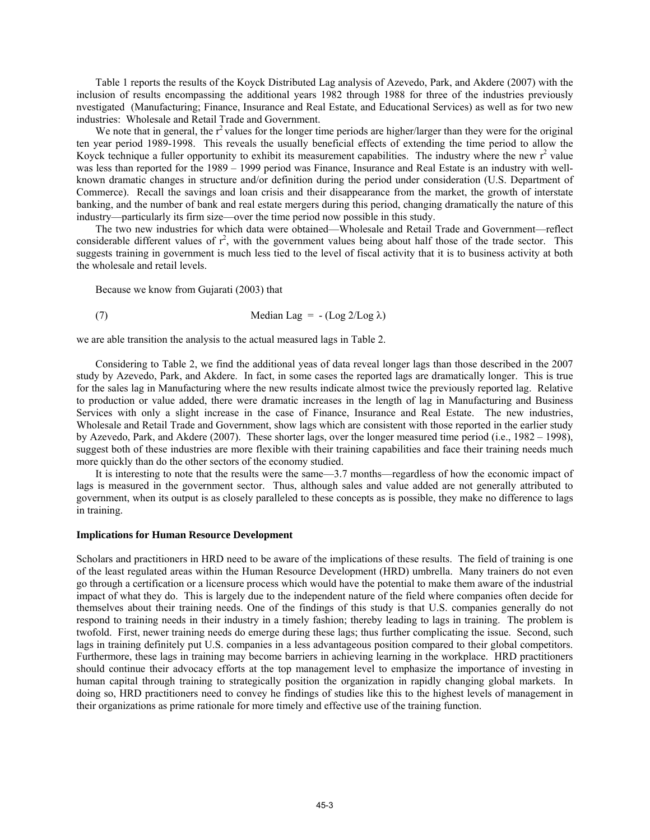Table 1 reports the results of the Koyck Distributed Lag analysis of Azevedo, Park, and Akdere (2007) with the inclusion of results encompassing the additional years 1982 through 1988 for three of the industries previously nvestigated (Manufacturing; Finance, Insurance and Real Estate, and Educational Services) as well as for two new industries: Wholesale and Retail Trade and Government.

We note that in general, the  $r^2$  values for the longer time periods are higher/larger than they were for the original ten year period 1989-1998. This reveals the usually beneficial effects of extending the time period to allow the Koyck technique a fuller opportunity to exhibit its measurement capabilities. The industry where the new  $r^2$  value was less than reported for the 1989 – 1999 period was Finance, Insurance and Real Estate is an industry with wellknown dramatic changes in structure and/or definition during the period under consideration (U.S. Department of Commerce). Recall the savings and loan crisis and their disappearance from the market, the growth of interstate banking, and the number of bank and real estate mergers during this period, changing dramatically the nature of this industry—particularly its firm size—over the time period now possible in this study.

The two new industries for which data were obtained—Wholesale and Retail Trade and Government—reflect considerable different values of  $r^2$ , with the government values being about half those of the trade sector. This suggests training in government is much less tied to the level of fiscal activity that it is to business activity at both the wholesale and retail levels.

Because we know from Gujarati (2003) that

(7) Median Lag = 
$$
-(\text{Log }2/\text{Log }\lambda)
$$

we are able transition the analysis to the actual measured lags in Table 2.

Considering to Table 2, we find the additional yeas of data reveal longer lags than those described in the 2007 study by Azevedo, Park, and Akdere. In fact, in some cases the reported lags are dramatically longer. This is true for the sales lag in Manufacturing where the new results indicate almost twice the previously reported lag. Relative to production or value added, there were dramatic increases in the length of lag in Manufacturing and Business Services with only a slight increase in the case of Finance, Insurance and Real Estate. The new industries, Wholesale and Retail Trade and Government, show lags which are consistent with those reported in the earlier study by Azevedo, Park, and Akdere (2007). These shorter lags, over the longer measured time period (i.e., 1982 – 1998), suggest both of these industries are more flexible with their training capabilities and face their training needs much more quickly than do the other sectors of the economy studied.

It is interesting to note that the results were the same—3.7 months—regardless of how the economic impact of lags is measured in the government sector. Thus, although sales and value added are not generally attributed to government, when its output is as closely paralleled to these concepts as is possible, they make no difference to lags in training.

#### **Implications for Human Resource Development**

Scholars and practitioners in HRD need to be aware of the implications of these results. The field of training is one of the least regulated areas within the Human Resource Development (HRD) umbrella. Many trainers do not even go through a certification or a licensure process which would have the potential to make them aware of the industrial impact of what they do. This is largely due to the independent nature of the field where companies often decide for themselves about their training needs. One of the findings of this study is that U.S. companies generally do not respond to training needs in their industry in a timely fashion; thereby leading to lags in training. The problem is twofold. First, newer training needs do emerge during these lags; thus further complicating the issue. Second, such lags in training definitely put U.S. companies in a less advantageous position compared to their global competitors. Furthermore, these lags in training may become barriers in achieving learning in the workplace. HRD practitioners should continue their advocacy efforts at the top management level to emphasize the importance of investing in human capital through training to strategically position the organization in rapidly changing global markets. In doing so, HRD practitioners need to convey he findings of studies like this to the highest levels of management in their organizations as prime rationale for more timely and effective use of the training function.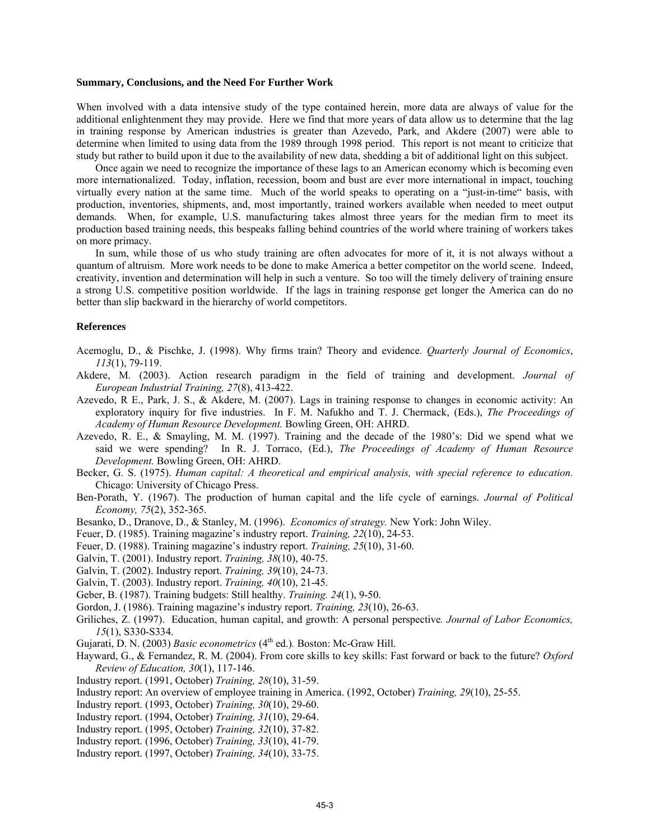#### **Summary, Conclusions, and the Need For Further Work**

When involved with a data intensive study of the type contained herein, more data are always of value for the additional enlightenment they may provide. Here we find that more years of data allow us to determine that the lag in training response by American industries is greater than Azevedo, Park, and Akdere (2007) were able to determine when limited to using data from the 1989 through 1998 period. This report is not meant to criticize that study but rather to build upon it due to the availability of new data, shedding a bit of additional light on this subject.

Once again we need to recognize the importance of these lags to an American economy which is becoming even more internationalized. Today, inflation, recession, boom and bust are ever more international in impact, touching virtually every nation at the same time. Much of the world speaks to operating on a "just-in-time" basis, with production, inventories, shipments, and, most importantly, trained workers available when needed to meet output demands. When, for example, U.S. manufacturing takes almost three years for the median firm to meet its production based training needs, this bespeaks falling behind countries of the world where training of workers takes on more primacy.

In sum, while those of us who study training are often advocates for more of it, it is not always without a quantum of altruism. More work needs to be done to make America a better competitor on the world scene. Indeed, creativity, invention and determination will help in such a venture. So too will the timely delivery of training ensure a strong U.S. competitive position worldwide. If the lags in training response get longer the America can do no better than slip backward in the hierarchy of world competitors.

#### **References**

- Acemoglu, D., & Pischke, J. (1998). Why firms train? Theory and evidence. *Quarterly Journal of Economics*, *113*(1), 79-119.
- Akdere, M. (2003). Action research paradigm in the field of training and development. *Journal of European Industrial Training, 27*(8), 413-422.
- Azevedo, R E., Park, J. S., & Akdere, M. (2007). Lags in training response to changes in economic activity: An exploratory inquiry for five industries. In F. M. Nafukho and T. J. Chermack, (Eds.), *The Proceedings of Academy of Human Resource Development.* Bowling Green, OH: AHRD.
- Azevedo, R. E., & Smayling, M. M. (1997). Training and the decade of the 1980's: Did we spend what we said we were spending? In R. J. Torraco, (Ed.), *The Proceedings of Academy of Human Resource Development.* Bowling Green, OH: AHRD.
- Becker, G. S. (1975). *Human capital: A theoretical and empirical analysis, with special reference to education.* Chicago: University of Chicago Press.
- Ben-Porath, Y. (1967). The production of human capital and the life cycle of earnings. *Journal of Political Economy, 75*(2), 352-365.
- Besanko, D., Dranove, D., & Stanley, M. (1996). *Economics of strategy.* New York: John Wiley.
- Feuer, D. (1985). Training magazine's industry report. *Training, 22*(10), 24-53.
- Feuer, D. (1988). Training magazine's industry report. *Training, 25*(10), 31-60.
- Galvin, T. (2001). Industry report. *Training, 38*(10), 40-75.
- Galvin, T. (2002). Industry report. *Training, 39*(10), 24-73.
- Galvin, T. (2003). Industry report. *Training, 40*(10), 21-45.
- Geber, B. (1987). Training budgets: Still healthy. *Training. 24*(1), 9-50.
- Gordon, J. (1986). Training magazine's industry report. *Training, 23*(10), 26-63.
- Griliches, Z. (1997). Education, human capital, and growth: A personal perspective*. Journal of Labor Economics, 15*(1), S330-S334.
- Gujarati, D. N. (2003) *Basic econometrics* (4<sup>th</sup> ed.). Boston: Mc-Graw Hill.
- Hayward, G., & Fernandez, R. M. (2004). From core skills to key skills: Fast forward or back to the future? *Oxford Review of Education, 30*(1), 117-146.
- Industry report. (1991, October) *Training, 28*(10), 31-59.
- Industry report: An overview of employee training in America. (1992, October) *Training, 29*(10), 25-55.
- Industry report. (1993, October) *Training, 30*(10), 29-60.
- Industry report. (1994, October) *Training, 31*(10), 29-64.
- Industry report. (1995, October) *Training, 32*(10), 37-82.
- Industry report. (1996, October) *Training, 33*(10), 41-79.
- Industry report. (1997, October) *Training, 34*(10), 33-75.